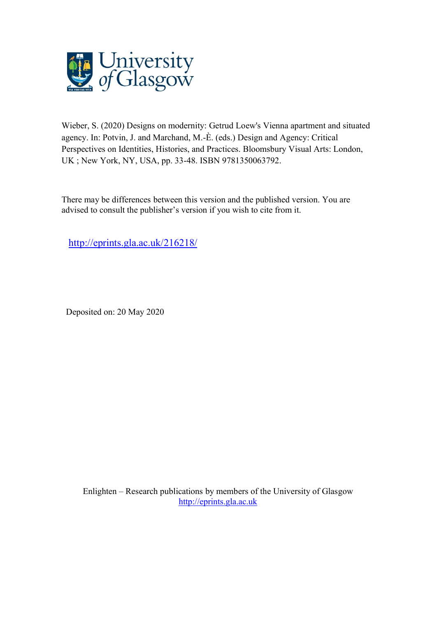

Wieber, S. (2020) Designs on modernity: Getrud Loew's Vienna apartment and situated agency. In: Potvin, J. and Marchand, M.-È. (eds.) Design and Agency: Critical Perspectives on Identities, Histories, and Practices. Bloomsbury Visual Arts: London, UK ; New York, NY, USA, pp. 33-48. ISBN 9781350063792.

There may be differences between this version and the published version. You are advised to consult the publisher's version if you wish to cite from it.

<http://eprints.gla.ac.uk/216218/>

Deposited on: 20 May 2020

Enlighten – Research publications by members of the University of Glasgow [http://eprints.gla.ac.uk](http://eprints.gla.ac.uk/)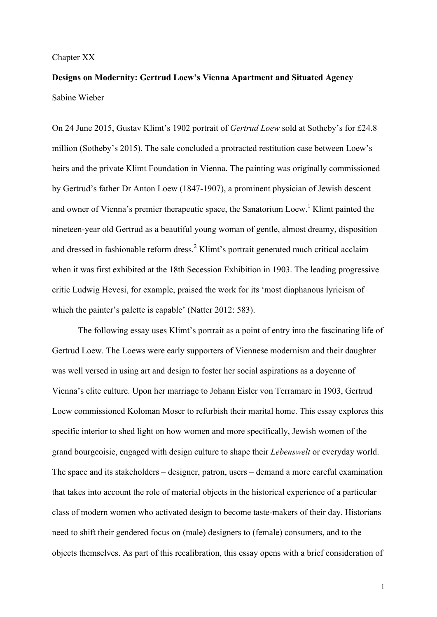#### Chapter XX

# **Designs on Modernity: Gertrud Loew's Vienna Apartment and Situated Agency** Sabine Wieber

On 24 June 2015, Gustav Klimt's 1902 portrait of *Gertrud Loew* sold at Sotheby's for £24.8 million (Sotheby's 2015). The sale concluded a protracted restitution case between Loew's heirs and the private Klimt Foundation in Vienna. The painting was originally commissioned by Gertrud's father Dr Anton Loew (1847-1907), a prominent physician of Jewish descent and owner of Vienna's premier therapeutic space, the Sanatorium Loew. <sup>1</sup> Klimt painted the nineteen-year old Gertrud as a beautiful young woman of gentle, almost dreamy, disposition and dressed in fashionable reform dress. <sup>2</sup> Klimt's portrait generated much critical acclaim when it was first exhibited at the 18th Secession Exhibition in 1903. The leading progressive critic Ludwig Hevesi, for example, praised the work for its 'most diaphanous lyricism of which the painter's palette is capable' (Natter 2012: 583).

The following essay uses Klimt's portrait as a point of entry into the fascinating life of Gertrud Loew. The Loews were early supporters of Viennese modernism and their daughter was well versed in using art and design to foster her social aspirations as a doyenne of Vienna's elite culture. Upon her marriage to Johann Eisler von Terramare in 1903, Gertrud Loew commissioned Koloman Moser to refurbish their marital home. This essay explores this specific interior to shed light on how women and more specifically, Jewish women of the grand bourgeoisie, engaged with design culture to shape their *Lebenswelt* or everyday world. The space and its stakeholders – designer, patron, users – demand a more careful examination that takes into account the role of material objects in the historical experience of a particular class of modern women who activated design to become taste-makers of their day. Historians need to shift their gendered focus on (male) designers to (female) consumers, and to the objects themselves. As part of this recalibration, this essay opens with a brief consideration of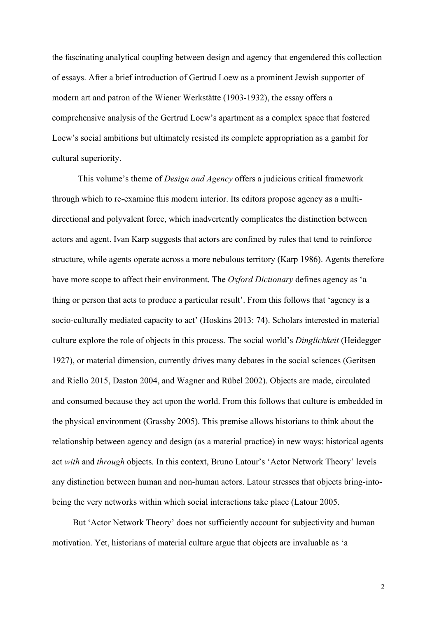the fascinating analytical coupling between design and agency that engendered this collection of essays. After a brief introduction of Gertrud Loew as a prominent Jewish supporter of modern art and patron of the Wiener Werkstätte (1903-1932), the essay offers a comprehensive analysis of the Gertrud Loew's apartment as a complex space that fostered Loew's social ambitions but ultimately resisted its complete appropriation as a gambit for cultural superiority.

This volume's theme of *Design and Agency* offers a judicious critical framework through which to re-examine this modern interior. Its editors propose agency as a multidirectional and polyvalent force, which inadvertently complicates the distinction between actors and agent. Ivan Karp suggests that actors are confined by rules that tend to reinforce structure, while agents operate across a more nebulous territory (Karp 1986). Agents therefore have more scope to affect their environment. The *Oxford Dictionary* defines agency as 'a thing or person that acts to produce a particular result'. From this follows that 'agency is a socio-culturally mediated capacity to act' (Hoskins 2013: 74). Scholars interested in material culture explore the role of objects in this process. The social world's *Dinglichkeit* (Heidegger 1927), or material dimension, currently drives many debates in the social sciences (Geritsen and Riello 2015, Daston 2004, and Wagner and Rübel 2002). Objects are made, circulated and consumed because they act upon the world. From this follows that culture is embedded in the physical environment (Grassby 2005). This premise allows historians to think about the relationship between agency and design (as a material practice) in new ways: historical agents act *with* and *through* objects*.* In this context, Bruno Latour's 'Actor Network Theory' levels any distinction between human and non-human actors. Latour stresses that objects bring-intobeing the very networks within which social interactions take place (Latour 2005.

But 'Actor Network Theory' does not sufficiently account for subjectivity and human motivation. Yet, historians of material culture argue that objects are invaluable as 'a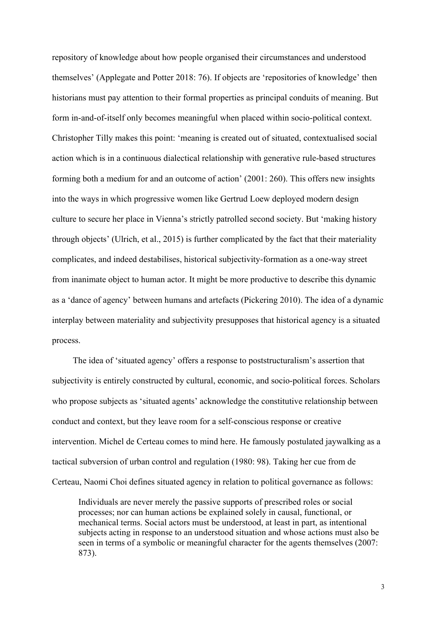repository of knowledge about how people organised their circumstances and understood themselves' (Applegate and Potter 2018: 76). If objects are 'repositories of knowledge' then historians must pay attention to their formal properties as principal conduits of meaning. But form in-and-of-itself only becomes meaningful when placed within socio-political context. Christopher Tilly makes this point: 'meaning is created out of situated, contextualised social action which is in a continuous dialectical relationship with generative rule-based structures forming both a medium for and an outcome of action' (2001: 260). This offers new insights into the ways in which progressive women like Gertrud Loew deployed modern design culture to secure her place in Vienna's strictly patrolled second society. But 'making history through objects' (Ulrich, et al., 2015) is further complicated by the fact that their materiality complicates, and indeed destabilises, historical subjectivity-formation as a one-way street from inanimate object to human actor. It might be more productive to describe this dynamic as a 'dance of agency' between humans and artefacts (Pickering 2010). The idea of a dynamic interplay between materiality and subjectivity presupposes that historical agency is a situated process.

The idea of 'situated agency' offers a response to poststructuralism's assertion that subjectivity is entirely constructed by cultural, economic, and socio-political forces. Scholars who propose subjects as 'situated agents' acknowledge the constitutive relationship between conduct and context, but they leave room for a self-conscious response or creative intervention. Michel de Certeau comes to mind here. He famously postulated jaywalking as a tactical subversion of urban control and regulation (1980: 98). Taking her cue from de Certeau, Naomi Choi defines situated agency in relation to political governance as follows:

Individuals are never merely the passive supports of prescribed roles or social processes; nor can human actions be explained solely in causal, functional, or mechanical terms. Social actors must be understood, at least in part, as intentional subjects acting in response to an understood situation and whose actions must also be seen in terms of a symbolic or meaningful character for the agents themselves (2007: 873).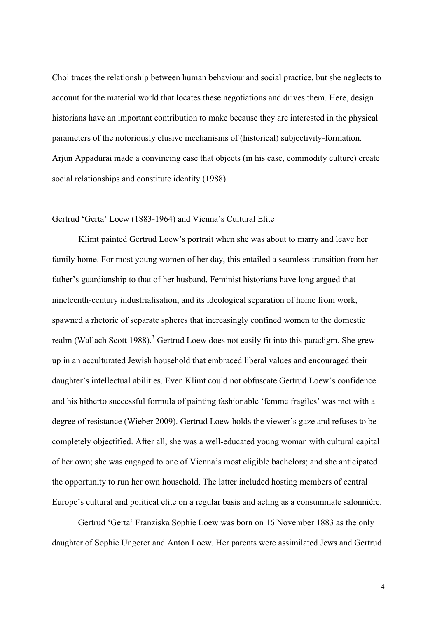Choi traces the relationship between human behaviour and social practice, but she neglects to account for the material world that locates these negotiations and drives them. Here, design historians have an important contribution to make because they are interested in the physical parameters of the notoriously elusive mechanisms of (historical) subjectivity-formation. Arjun Appadurai made a convincing case that objects (in his case, commodity culture) create social relationships and constitute identity (1988).

## Gertrud 'Gerta' Loew (1883-1964) and Vienna's Cultural Elite

Klimt painted Gertrud Loew's portrait when she was about to marry and leave her family home. For most young women of her day, this entailed a seamless transition from her father's guardianship to that of her husband. Feminist historians have long argued that nineteenth-century industrialisation, and its ideological separation of home from work, spawned a rhetoric of separate spheres that increasingly confined women to the domestic realm (Wallach Scott 1988).<sup>3</sup> Gertrud Loew does not easily fit into this paradigm. She grew up in an acculturated Jewish household that embraced liberal values and encouraged their daughter's intellectual abilities. Even Klimt could not obfuscate Gertrud Loew's confidence and his hitherto successful formula of painting fashionable 'femme fragiles' was met with a degree of resistance (Wieber 2009). Gertrud Loew holds the viewer's gaze and refuses to be completely objectified. After all, she was a well-educated young woman with cultural capital of her own; she was engaged to one of Vienna's most eligible bachelors; and she anticipated the opportunity to run her own household. The latter included hosting members of central Europe's cultural and political elite on a regular basis and acting as a consummate salonnière.

Gertrud 'Gerta' Franziska Sophie Loew was born on 16 November 1883 as the only daughter of Sophie Ungerer and Anton Loew. Her parents were assimilated Jews and Gertrud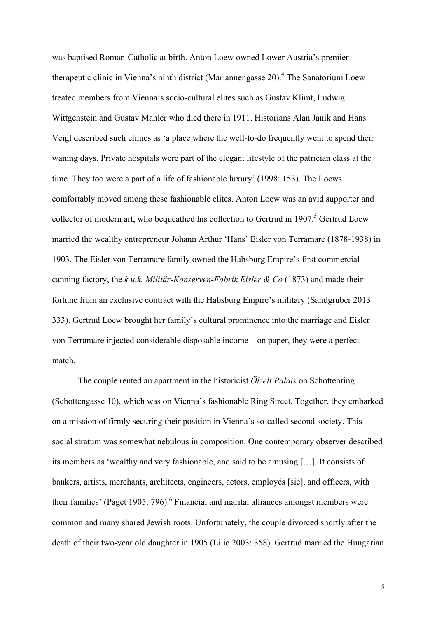was baptised Roman-Catholic at birth. Anton Loew owned Lower Austria's premier therapeutic clinic in Vienna's ninth district (Mariannengasse 20). <sup>4</sup> The Sanatorium Loew treated members from Vienna's socio-cultural elites such as Gustav Klimt, Ludwig Wittgenstein and Gustav Mahler who died there in 1911. Historians Alan Janik and Hans Veigl described such clinics as 'a place where the well-to-do frequently went to spend their waning days. Private hospitals were part of the elegant lifestyle of the patrician class at the time. They too were a part of a life of fashionable luxury' (1998: 153). The Loews comfortably moved among these fashionable elites. Anton Loew was an avid supporter and collector of modern art, who bequeathed his collection to Gertrud in 1907. <sup>5</sup> Gertrud Loew married the wealthy entrepreneur Johann Arthur 'Hans' Eisler von Terramare (1878-1938) in 1903. The Eisler von Terramare family owned the Habsburg Empire's first commercial canning factory, the *k.u.k. Militär-Konserven-Fabrik Eisler & Co* (1873) and made their fortune from an exclusive contract with the Habsburg Empire's military (Sandgruber 2013: 333). Gertrud Loew brought her family's cultural prominence into the marriage and Eisler von Terramare injected considerable disposable income – on paper, they were a perfect match.

The couple rented an apartment in the historicist *Ölzelt Palais* on Schottenring (Schottengasse 10), which was on Vienna's fashionable Ring Street. Together, they embarked on a mission of firmly securing their position in Vienna's so-called second society. This social stratum was somewhat nebulous in composition. One contemporary observer described its members as 'wealthy and very fashionable, and said to be amusing […]. It consists of bankers, artists, merchants, architects, engineers, actors, employés [sic], and officers, with their families' (Paget 1905: 796).<sup>6</sup> Financial and marital alliances amongst members were common and many shared Jewish roots. Unfortunately, the couple divorced shortly after the death of their two-year old daughter in 1905 (Lilie 2003: 358). Gertrud married the Hungarian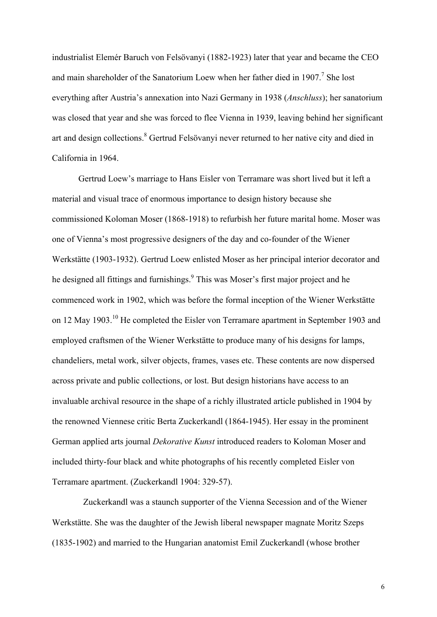industrialist Elemér Baruch von Felsövanyi (1882-1923) later that year and became the CEO and main shareholder of the Sanatorium Loew when her father died in  $1907$ .<sup>7</sup> She lost everything after Austria's annexation into Nazi Germany in 1938 (*Anschluss*); her sanatorium was closed that year and she was forced to flee Vienna in 1939, leaving behind her significant art and design collections.<sup>8</sup> Gertrud Felsövanyi never returned to her native city and died in California in 1964.

Gertrud Loew's marriage to Hans Eisler von Terramare was short lived but it left a material and visual trace of enormous importance to design history because she commissioned Koloman Moser (1868-1918) to refurbish her future marital home. Moser was one of Vienna's most progressive designers of the day and co-founder of the Wiener Werkstätte (1903-1932). Gertrud Loew enlisted Moser as her principal interior decorator and he designed all fittings and furnishings.<sup>9</sup> This was Moser's first major project and he commenced work in 1902, which was before the formal inception of the Wiener Werkstätte on 12 May 1903.10 He completed the Eisler von Terramare apartment in September 1903 and employed craftsmen of the Wiener Werkstätte to produce many of his designs for lamps, chandeliers, metal work, silver objects, frames, vases etc. These contents are now dispersed across private and public collections, or lost. But design historians have access to an invaluable archival resource in the shape of a richly illustrated article published in 1904 by the renowned Viennese critic Berta Zuckerkandl (1864-1945). Her essay in the prominent German applied arts journal *Dekorative Kunst* introduced readers to Koloman Moser and included thirty-four black and white photographs of his recently completed Eisler von Terramare apartment. (Zuckerkandl 1904: 329-57).

Zuckerkandl was a staunch supporter of the Vienna Secession and of the Wiener Werkstätte. She was the daughter of the Jewish liberal newspaper magnate Moritz Szeps (1835-1902) and married to the Hungarian anatomist Emil Zuckerkandl (whose brother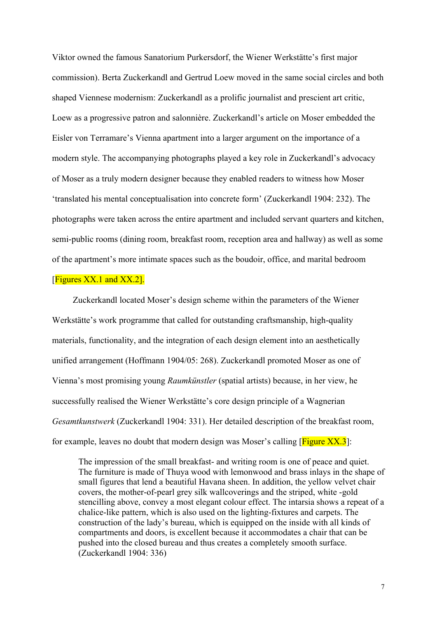Viktor owned the famous Sanatorium Purkersdorf, the Wiener Werkstätte's first major commission). Berta Zuckerkandl and Gertrud Loew moved in the same social circles and both shaped Viennese modernism: Zuckerkandl as a prolific journalist and prescient art critic, Loew as a progressive patron and salonnière. Zuckerkandl's article on Moser embedded the Eisler von Terramare's Vienna apartment into a larger argument on the importance of a modern style. The accompanying photographs played a key role in Zuckerkandl's advocacy of Moser as a truly modern designer because they enabled readers to witness how Moser 'translated his mental conceptualisation into concrete form' (Zuckerkandl 1904: 232). The photographs were taken across the entire apartment and included servant quarters and kitchen, semi-public rooms (dining room, breakfast room, reception area and hallway) as well as some of the apartment's more intimate spaces such as the boudoir, office, and marital bedroom

# [Figures  $XX$ .1 and  $XX$ .2].

Zuckerkandl located Moser's design scheme within the parameters of the Wiener Werkstätte's work programme that called for outstanding craftsmanship, high-quality materials, functionality, and the integration of each design element into an aesthetically unified arrangement (Hoffmann 1904/05: 268). Zuckerkandl promoted Moser as one of Vienna's most promising young *Raumkünstler* (spatial artists) because, in her view, he successfully realised the Wiener Werkstätte's core design principle of a Wagnerian *Gesamtkunstwerk* (Zuckerkandl 1904: 331). Her detailed description of the breakfast room, for example, leaves no doubt that modern design was Moser's calling  $[Figure XX.3]$ :

The impression of the small breakfast- and writing room is one of peace and quiet. The furniture is made of Thuya wood with lemonwood and brass inlays in the shape of small figures that lend a beautiful Havana sheen. In addition, the yellow velvet chair covers, the mother-of-pearl grey silk wallcoverings and the striped, white -gold stencilling above, convey a most elegant colour effect. The intarsia shows a repeat of a chalice-like pattern, which is also used on the lighting-fixtures and carpets. The construction of the lady's bureau, which is equipped on the inside with all kinds of compartments and doors, is excellent because it accommodates a chair that can be pushed into the closed bureau and thus creates a completely smooth surface. (Zuckerkandl 1904: 336)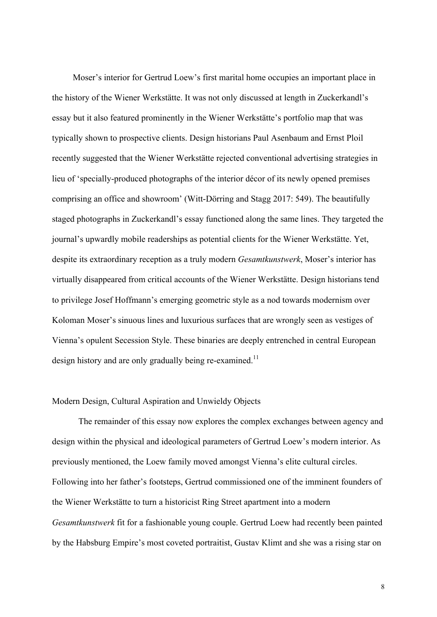Moser's interior for Gertrud Loew's first marital home occupies an important place in the history of the Wiener Werkstätte. It was not only discussed at length in Zuckerkandl's essay but it also featured prominently in the Wiener Werkstätte's portfolio map that was typically shown to prospective clients. Design historians Paul Asenbaum and Ernst Ploil recently suggested that the Wiener Werkstätte rejected conventional advertising strategies in lieu of 'specially-produced photographs of the interior décor of its newly opened premises comprising an office and showroom' (Witt-Dörring and Stagg 2017: 549). The beautifully staged photographs in Zuckerkandl's essay functioned along the same lines. They targeted the journal's upwardly mobile readerships as potential clients for the Wiener Werkstätte. Yet, despite its extraordinary reception as a truly modern *Gesamtkunstwerk*, Moser's interior has virtually disappeared from critical accounts of the Wiener Werkstätte. Design historians tend to privilege Josef Hoffmann's emerging geometric style as a nod towards modernism over Koloman Moser's sinuous lines and luxurious surfaces that are wrongly seen as vestiges of Vienna's opulent Secession Style. These binaries are deeply entrenched in central European design history and are only gradually being re-examined.<sup>11</sup>

#### Modern Design, Cultural Aspiration and Unwieldy Objects

The remainder of this essay now explores the complex exchanges between agency and design within the physical and ideological parameters of Gertrud Loew's modern interior. As previously mentioned, the Loew family moved amongst Vienna's elite cultural circles. Following into her father's footsteps, Gertrud commissioned one of the imminent founders of the Wiener Werkstätte to turn a historicist Ring Street apartment into a modern *Gesamtkunstwerk* fit for a fashionable young couple. Gertrud Loew had recently been painted by the Habsburg Empire's most coveted portraitist, Gustav Klimt and she was a rising star on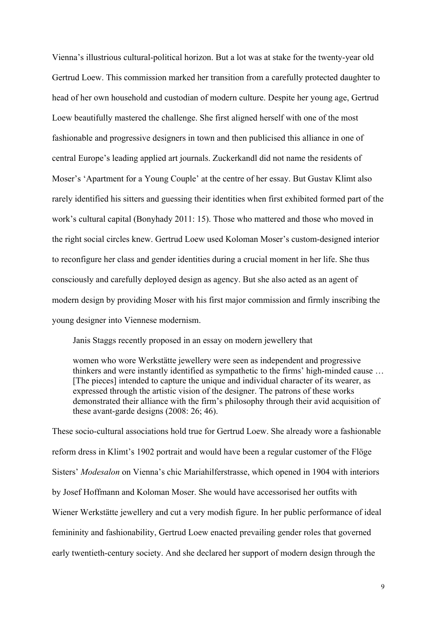Vienna's illustrious cultural-political horizon. But a lot was at stake for the twenty-year old Gertrud Loew. This commission marked her transition from a carefully protected daughter to head of her own household and custodian of modern culture. Despite her young age, Gertrud Loew beautifully mastered the challenge. She first aligned herself with one of the most fashionable and progressive designers in town and then publicised this alliance in one of central Europe's leading applied art journals. Zuckerkandl did not name the residents of Moser's 'Apartment for a Young Couple' at the centre of her essay. But Gustav Klimt also rarely identified his sitters and guessing their identities when first exhibited formed part of the work's cultural capital (Bonyhady 2011: 15). Those who mattered and those who moved in the right social circles knew. Gertrud Loew used Koloman Moser's custom-designed interior to reconfigure her class and gender identities during a crucial moment in her life. She thus consciously and carefully deployed design as agency. But she also acted as an agent of modern design by providing Moser with his first major commission and firmly inscribing the young designer into Viennese modernism.

Janis Staggs recently proposed in an essay on modern jewellery that

women who wore Werkstätte jewellery were seen as independent and progressive thinkers and were instantly identified as sympathetic to the firms' high-minded cause … [The pieces] intended to capture the unique and individual character of its wearer, as expressed through the artistic vision of the designer. The patrons of these works demonstrated their alliance with the firm's philosophy through their avid acquisition of these avant-garde designs (2008: 26; 46).

These socio-cultural associations hold true for Gertrud Loew. She already wore a fashionable reform dress in Klimt's 1902 portrait and would have been a regular customer of the Flöge Sisters' *Modesalon* on Vienna's chic Mariahilferstrasse, which opened in 1904 with interiors by Josef Hoffmann and Koloman Moser. She would have accessorised her outfits with Wiener Werkstätte jewellery and cut a very modish figure. In her public performance of ideal femininity and fashionability, Gertrud Loew enacted prevailing gender roles that governed early twentieth-century society. And she declared her support of modern design through the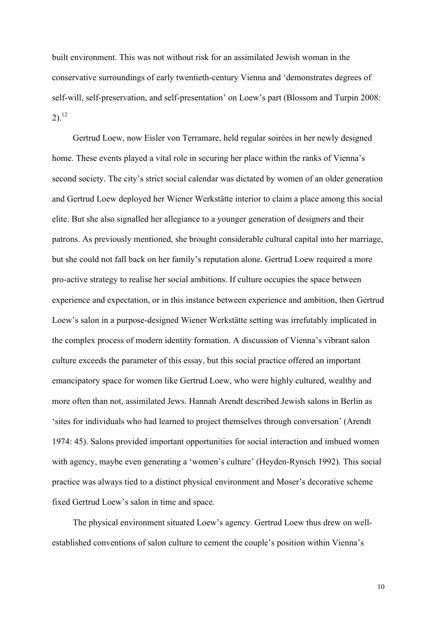built environment. This was not without risk for an assimilated Jewish woman in the conservative surroundings of early twentieth-century Vienna and 'demonstrates degrees of self-will, self-preservation, and self-presentation' on Loew's part (Blossom and Turpin 2008:  $2)$ <sup>12</sup>

Gertrud Loew, now Eisler von Terramare, held regular soirées in her newly designed home. These events played a vital role in securing her place within the ranks of Vienna's second society. The city's strict social calendar was dictated by women of an older generation and Gertrud Loew deployed her Wiener Werkstätte interior to claim a place among this social elite. But she also signalled her allegiance to a younger generation of designers and their patrons. As previously mentioned, she brought considerable cultural capital into her marriage, but she could not fall back on her family's reputation alone. Gertrud Loew required a more pro-active strategy to realise her social ambitions. If culture occupies the space between experience and expectation, or in this instance between experience and ambition, then Gertrud Loew's salon in a purpose-designed Wiener Werkstätte setting was irrefutably implicated in the complex process of modern identity formation. A discussion of Vienna's vibrant salon culture exceeds the parameter of this essay, but this social practice offered an important emancipatory space for women like Gertrud Loew, who were highly cultured, wealthy and more often than not, assimilated Jews. Hannah Arendt described Jewish salons in Berlin as 'sites for individuals who had learned to project themselves through conversation' (Arendt 1974: 45). Salons provided important opportunities for social interaction and imbued women with agency, maybe even generating a 'women's culture' (Heyden-Rynsch 1992). This social practice was always tied to a distinct physical environment and Moser's decorative scheme fixed Gertrud Loew's salon in time and space.

The physical environment situated Loew's agency. Gertrud Loew thus drew on wellestablished conventions of salon culture to cement the couple's position within Vienna's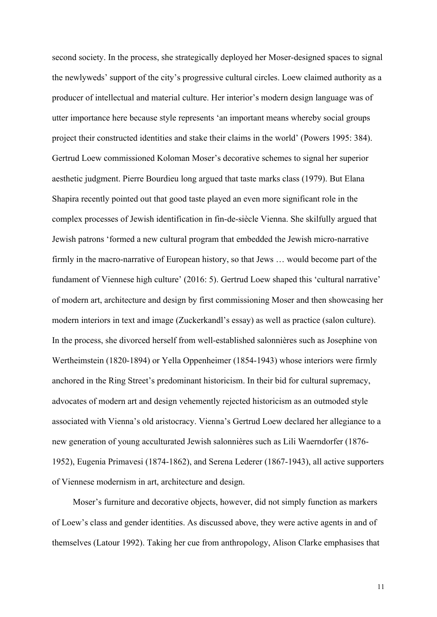second society. In the process, she strategically deployed her Moser-designed spaces to signal the newlyweds' support of the city's progressive cultural circles. Loew claimed authority as a producer of intellectual and material culture. Her interior's modern design language was of utter importance here because style represents 'an important means whereby social groups project their constructed identities and stake their claims in the world' (Powers 1995: 384). Gertrud Loew commissioned Koloman Moser's decorative schemes to signal her superior aesthetic judgment. Pierre Bourdieu long argued that taste marks class (1979). But Elana Shapira recently pointed out that good taste played an even more significant role in the complex processes of Jewish identification in fin-de-siècle Vienna. She skilfully argued that Jewish patrons 'formed a new cultural program that embedded the Jewish micro-narrative firmly in the macro-narrative of European history, so that Jews … would become part of the fundament of Viennese high culture' (2016: 5). Gertrud Loew shaped this 'cultural narrative' of modern art, architecture and design by first commissioning Moser and then showcasing her modern interiors in text and image (Zuckerkandl's essay) as well as practice (salon culture). In the process, she divorced herself from well-established salonnières such as Josephine von Wertheimstein (1820-1894) or Yella Oppenheimer (1854-1943) whose interiors were firmly anchored in the Ring Street's predominant historicism. In their bid for cultural supremacy, advocates of modern art and design vehemently rejected historicism as an outmoded style associated with Vienna's old aristocracy. Vienna's Gertrud Loew declared her allegiance to a new generation of young acculturated Jewish salonnières such as Lili Waerndorfer (1876- 1952), Eugenia Primavesi (1874-1862), and Serena Lederer (1867-1943), all active supporters of Viennese modernism in art, architecture and design.

Moser's furniture and decorative objects, however, did not simply function as markers of Loew's class and gender identities. As discussed above, they were active agents in and of themselves (Latour 1992). Taking her cue from anthropology, Alison Clarke emphasises that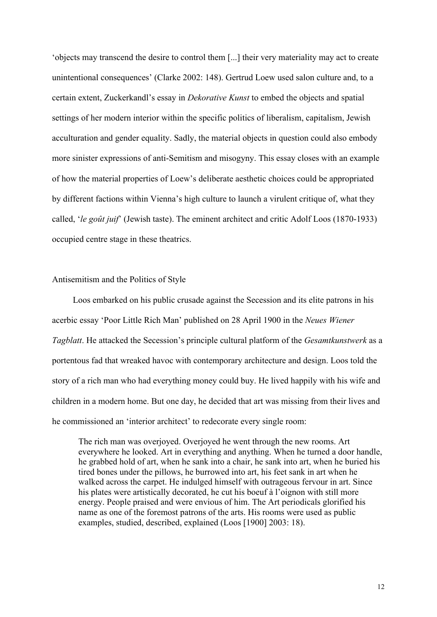'objects may transcend the desire to control them [...] their very materiality may act to create unintentional consequences' (Clarke 2002: 148). Gertrud Loew used salon culture and, to a certain extent, Zuckerkandl's essay in *Dekorative Kunst* to embed the objects and spatial settings of her modern interior within the specific politics of liberalism, capitalism, Jewish acculturation and gender equality. Sadly, the material objects in question could also embody more sinister expressions of anti-Semitism and misogyny. This essay closes with an example of how the material properties of Loew's deliberate aesthetic choices could be appropriated by different factions within Vienna's high culture to launch a virulent critique of, what they called, '*le goût juif*' (Jewish taste). The eminent architect and critic Adolf Loos (1870-1933) occupied centre stage in these theatrics.

#### Antisemitism and the Politics of Style

Loos embarked on his public crusade against the Secession and its elite patrons in his acerbic essay 'Poor Little Rich Man' published on 28 April 1900 in the *Neues Wiener Tagblatt*. He attacked the Secession's principle cultural platform of the *Gesamtkunstwerk* as a portentous fad that wreaked havoc with contemporary architecture and design. Loos told the story of a rich man who had everything money could buy. He lived happily with his wife and children in a modern home. But one day, he decided that art was missing from their lives and he commissioned an 'interior architect' to redecorate every single room:

The rich man was overjoyed. Overjoyed he went through the new rooms. Art everywhere he looked. Art in everything and anything. When he turned a door handle, he grabbed hold of art, when he sank into a chair, he sank into art, when he buried his tired bones under the pillows, he burrowed into art, his feet sank in art when he walked across the carpet. He indulged himself with outrageous fervour in art. Since his plates were artistically decorated, he cut his boeuf à l'oignon with still more energy. People praised and were envious of him. The Art periodicals glorified his name as one of the foremost patrons of the arts. His rooms were used as public examples, studied, described, explained (Loos [1900] 2003: 18).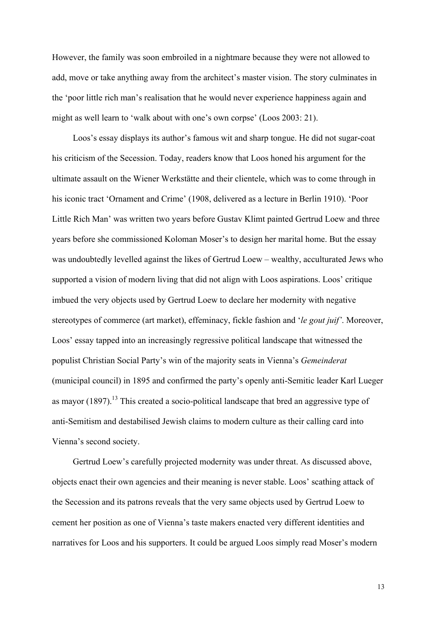However, the family was soon embroiled in a nightmare because they were not allowed to add, move or take anything away from the architect's master vision. The story culminates in the 'poor little rich man's realisation that he would never experience happiness again and might as well learn to 'walk about with one's own corpse' (Loos 2003: 21).

Loos's essay displays its author's famous wit and sharp tongue. He did not sugar-coat his criticism of the Secession. Today, readers know that Loos honed his argument for the ultimate assault on the Wiener Werkstätte and their clientele, which was to come through in his iconic tract 'Ornament and Crime' (1908, delivered as a lecture in Berlin 1910). 'Poor Little Rich Man' was written two years before Gustav Klimt painted Gertrud Loew and three years before she commissioned Koloman Moser's to design her marital home. But the essay was undoubtedly levelled against the likes of Gertrud Loew – wealthy, acculturated Jews who supported a vision of modern living that did not align with Loos aspirations. Loos' critique imbued the very objects used by Gertrud Loew to declare her modernity with negative stereotypes of commerce (art market), effeminacy, fickle fashion and '*le gout juif'*. Moreover, Loos' essay tapped into an increasingly regressive political landscape that witnessed the populist Christian Social Party's win of the majority seats in Vienna's *Gemeinderat*  (municipal council) in 1895 and confirmed the party's openly anti-Semitic leader Karl Lueger as mayor  $(1897)$ .<sup>13</sup> This created a socio-political landscape that bred an aggressive type of anti-Semitism and destabilised Jewish claims to modern culture as their calling card into Vienna's second society.

Gertrud Loew's carefully projected modernity was under threat. As discussed above, objects enact their own agencies and their meaning is never stable. Loos' scathing attack of the Secession and its patrons reveals that the very same objects used by Gertrud Loew to cement her position as one of Vienna's taste makers enacted very different identities and narratives for Loos and his supporters. It could be argued Loos simply read Moser's modern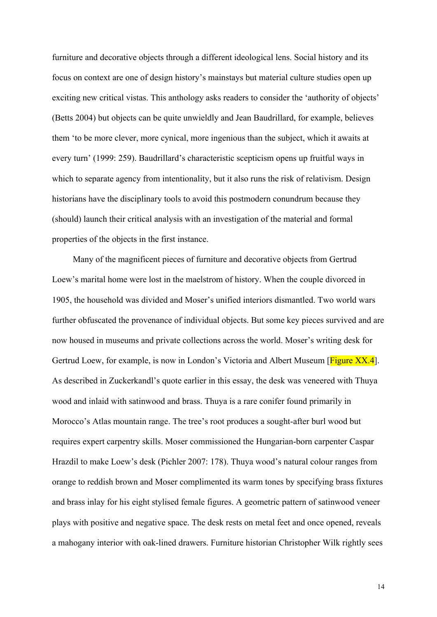furniture and decorative objects through a different ideological lens. Social history and its focus on context are one of design history's mainstays but material culture studies open up exciting new critical vistas. This anthology asks readers to consider the 'authority of objects' (Betts 2004) but objects can be quite unwieldly and Jean Baudrillard, for example, believes them 'to be more clever, more cynical, more ingenious than the subject, which it awaits at every turn' (1999: 259). Baudrillard's characteristic scepticism opens up fruitful ways in which to separate agency from intentionality, but it also runs the risk of relativism. Design historians have the disciplinary tools to avoid this postmodern conundrum because they (should) launch their critical analysis with an investigation of the material and formal properties of the objects in the first instance.

Many of the magnificent pieces of furniture and decorative objects from Gertrud Loew's marital home were lost in the maelstrom of history. When the couple divorced in 1905, the household was divided and Moser's unified interiors dismantled. Two world wars further obfuscated the provenance of individual objects. But some key pieces survived and are now housed in museums and private collections across the world. Moser's writing desk for Gertrud Loew, for example, is now in London's Victoria and Albert Museum [Figure XX.4]. As described in Zuckerkandl's quote earlier in this essay, the desk was veneered with Thuya wood and inlaid with satinwood and brass. Thuya is a rare conifer found primarily in Morocco's Atlas mountain range. The tree's root produces a sought-after burl wood but requires expert carpentry skills. Moser commissioned the Hungarian-born carpenter Caspar Hrazdil to make Loew's desk (Pichler 2007: 178). Thuya wood's natural colour ranges from orange to reddish brown and Moser complimented its warm tones by specifying brass fixtures and brass inlay for his eight stylised female figures. A geometric pattern of satinwood veneer plays with positive and negative space. The desk rests on metal feet and once opened, reveals a mahogany interior with oak-lined drawers. Furniture historian Christopher Wilk rightly sees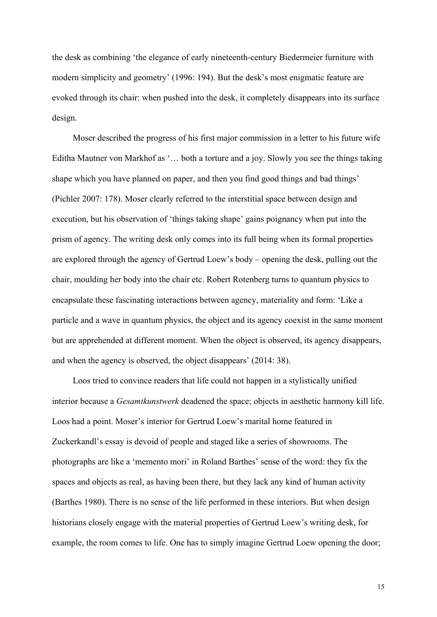the desk as combining 'the elegance of early nineteenth-century Biedermeier furniture with modern simplicity and geometry' (1996: 194). But the desk's most enigmatic feature are evoked through its chair: when pushed into the desk, it completely disappears into its surface design.

Moser described the progress of his first major commission in a letter to his future wife Editha Mautner von Markhof as '… both a torture and a joy. Slowly you see the things taking shape which you have planned on paper, and then you find good things and bad things' (Pichler 2007: 178). Moser clearly referred to the interstitial space between design and execution, but his observation of 'things taking shape' gains poignancy when put into the prism of agency. The writing desk only comes into its full being when its formal properties are explored through the agency of Gertrud Loew's body – opening the desk, pulling out the chair, moulding her body into the chair etc. Robert Rotenberg turns to quantum physics to encapsulate these fascinating interactions between agency, materiality and form: 'Like a particle and a wave in quantum physics, the object and its agency coexist in the same moment but are apprehended at different moment. When the object is observed, its agency disappears, and when the agency is observed, the object disappears' (2014: 38).

Loos tried to convince readers that life could not happen in a stylistically unified interior because a *Gesamtkunstwerk* deadened the space; objects in aesthetic harmony kill life. Loos had a point. Moser's interior for Gertrud Loew's marital home featured in Zuckerkandl's essay is devoid of people and staged like a series of showrooms. The photographs are like a 'memento mori' in Roland Barthes' sense of the word: they fix the spaces and objects as real, as having been there, but they lack any kind of human activity (Barthes 1980). There is no sense of the life performed in these interiors. But when design historians closely engage with the material properties of Gertrud Loew's writing desk, for example, the room comes to life. One has to simply imagine Gertrud Loew opening the door;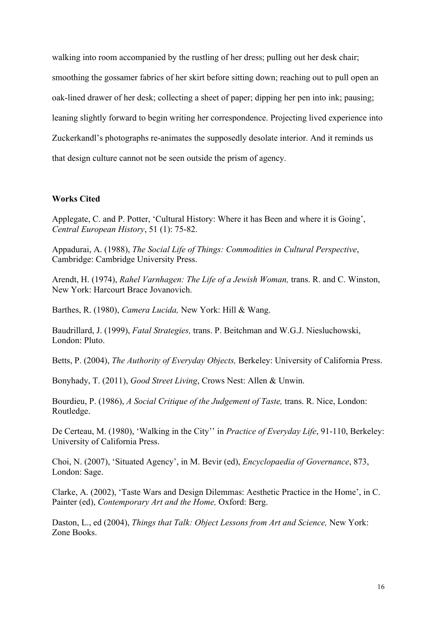walking into room accompanied by the rustling of her dress; pulling out her desk chair; smoothing the gossamer fabrics of her skirt before sitting down; reaching out to pull open an oak-lined drawer of her desk; collecting a sheet of paper; dipping her pen into ink; pausing; leaning slightly forward to begin writing her correspondence. Projecting lived experience into Zuckerkandl's photographs re-animates the supposedly desolate interior. And it reminds us that design culture cannot not be seen outside the prism of agency.

## **Works Cited**

Applegate, C. and P. Potter, 'Cultural History: Where it has Been and where it is Going', *Central European History*, 51 (1): 75-82.

Appadurai, A. (1988), *The Social Life of Things: Commodities in Cultural Perspective*, Cambridge: Cambridge University Press.

Arendt, H. (1974), *Rahel Varnhagen: The Life of a Jewish Woman,* trans. R. and C. Winston, New York: Harcourt Brace Jovanovich.

Barthes, R. (1980), *Camera Lucida,* New York: Hill & Wang.

Baudrillard, J. (1999), *Fatal Strategies,* trans. P. Beitchman and W.G.J. Niesluchowski, London: Pluto.

Betts, P. (2004), *The Authority of Everyday Objects,* Berkeley: University of California Press.

Bonyhady, T. (2011), *Good Street Living*, Crows Nest: Allen & Unwin.

Bourdieu, P. (1986), *A Social Critique of the Judgement of Taste*, trans. R. Nice, London: Routledge.

De Certeau, M. (1980), 'Walking in the City'' in *Practice of Everyday Life*, 91-110, Berkeley: University of California Press.

Choi, N. (2007), 'Situated Agency', in M. Bevir (ed), *Encyclopaedia of Governance*, 873, London: Sage.

Clarke, A. (2002), 'Taste Wars and Design Dilemmas: Aesthetic Practice in the Home', in C. Painter (ed), *Contemporary Art and the Home,* Oxford: Berg.

Daston, L., ed (2004), *Things that Talk: Object Lessons from Art and Science*, New York: Zone Books.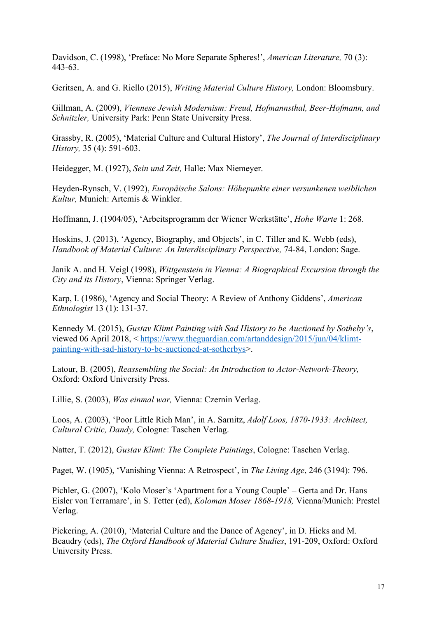Davidson, C. (1998), 'Preface: No More Separate Spheres!', *American Literature,* 70 (3): 443-63.

Geritsen, A. and G. Riello (2015), *Writing Material Culture History,* London: Bloomsbury.

Gillman, A. (2009), *Viennese Jewish Modernism: Freud, Hofmannsthal, Beer-Hofmann, and Schnitzler,* University Park: Penn State University Press.

Grassby, R. (2005), 'Material Culture and Cultural History', *The Journal of Interdisciplinary History,* 35 (4): 591-603.

Heidegger, M. (1927), *Sein und Zeit,* Halle: Max Niemeyer.

Heyden-Rynsch, V. (1992), *Europäische Salons: Höhepunkte einer versunkenen weiblichen Kultur,* Munich: Artemis & Winkler.

Hoffmann, J. (1904/05), 'Arbeitsprogramm der Wiener Werkstätte', *Hohe Warte* 1: 268.

Hoskins, J. (2013), 'Agency, Biography, and Objects', in C. Tiller and K. Webb (eds), *Handbook of Material Culture: An Interdisciplinary Perspective, 74-84, London: Sage.* 

Janik A. and H. Veigl (1998), *Wittgenstein in Vienna: A Biographical Excursion through the City and its History*, Vienna: Springer Verlag.

Karp, I. (1986), 'Agency and Social Theory: A Review of Anthony Giddens', *American Ethnologist* 13 (1): 131-37.

Kennedy M. (2015), *Gustav Klimt Painting with Sad History to be Auctioned by Sotheby's*, viewed 06 April 2018, < https://www.theguardian.com/artanddesign/2015/jun/04/klimtpainting-with-sad-history-to-be-auctioned-at-sotherbys>.

Latour, B. (2005), *Reassembling the Social: An Introduction to Actor-Network-Theory,*  Oxford: Oxford University Press.

Lillie, S. (2003), *Was einmal war,* Vienna: Czernin Verlag.

Loos, A. (2003), 'Poor Little Rich Man', in A. Sarnitz, *Adolf Loos, 1870-1933: Architect, Cultural Critic, Dandy,* Cologne: Taschen Verlag.

Natter, T. (2012), *Gustav Klimt: The Complete Paintings*, Cologne: Taschen Verlag.

Paget, W. (1905), 'Vanishing Vienna: A Retrospect', in *The Living Age*, 246 (3194): 796.

Pichler, G. (2007), 'Kolo Moser's 'Apartment for a Young Couple' – Gerta and Dr. Hans Eisler von Terramare', in S. Tetter (ed), *Koloman Moser 1868-1918,* Vienna/Munich: Prestel Verlag.

Pickering, A. (2010), 'Material Culture and the Dance of Agency', in D. Hicks and M. Beaudry (eds), *The Oxford Handbook of Material Culture Studies*, 191-209, Oxford: Oxford University Press.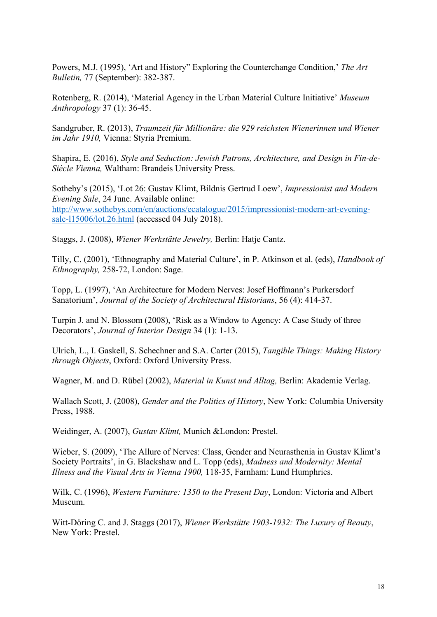Powers, M.J. (1995), 'Art and History" Exploring the Counterchange Condition,' *The Art Bulletin,* 77 (September): 382-387.

Rotenberg, R. (2014), 'Material Agency in the Urban Material Culture Initiative' *Museum Anthropology* 37 (1): 36-45.

Sandgruber, R. (2013), *Traumzeit für Millionäre: die 929 reichsten Wienerinnen und Wiener im Jahr 1910,* Vienna: Styria Premium.

Shapira, E. (2016), *Style and Seduction: Jewish Patrons, Architecture, and Design in Fin-de-Siècle Vienna,* Waltham: Brandeis University Press.

Sotheby's (2015), 'Lot 26: Gustav Klimt, Bildnis Gertrud Loew', *Impressionist and Modern Evening Sale*, 24 June. Available online: http://www.sothebys.com/en/auctions/ecatalogue/2015/impressionist-modern-art-eveningsale-l15006/lot.26.html (accessed 04 July 2018).

Staggs, J. (2008), *Wiener Werkstätte Jewelry,* Berlin: Hatje Cantz.

Tilly, C. (2001), 'Ethnography and Material Culture', in P. Atkinson et al. (eds), *Handbook of Ethnography,* 258-72, London: Sage.

Topp, L. (1997), 'An Architecture for Modern Nerves: Josef Hoffmann's Purkersdorf Sanatorium', *Journal of the Society of Architectural Historians*, 56 (4): 414-37.

Turpin J. and N. Blossom (2008), 'Risk as a Window to Agency: A Case Study of three Decorators', *Journal of Interior Design* 34 (1): 1-13.

Ulrich, L., I. Gaskell, S. Schechner and S.A. Carter (2015), *Tangible Things: Making History through Objects*, Oxford: Oxford University Press.

Wagner, M. and D. Rübel (2002), *Material in Kunst und Alltag,* Berlin: Akademie Verlag.

Wallach Scott, J. (2008), *Gender and the Politics of History*, New York: Columbia University Press, 1988.

Weidinger, A. (2007), *Gustav Klimt,* Munich &London: Prestel.

Wieber, S. (2009), 'The Allure of Nerves: Class, Gender and Neurasthenia in Gustav Klimt's Society Portraits', in G. Blackshaw and L. Topp (eds), *Madness and Modernity: Mental Illness and the Visual Arts in Vienna 1900,* 118-35, Farnham: Lund Humphries.

Wilk, C. (1996), *Western Furniture: 1350 to the Present Day*, London: Victoria and Albert Museum.

Witt-Döring C. and J. Staggs (2017), *Wiener Werkstätte 1903-1932: The Luxury of Beauty*, New York: Prestel.